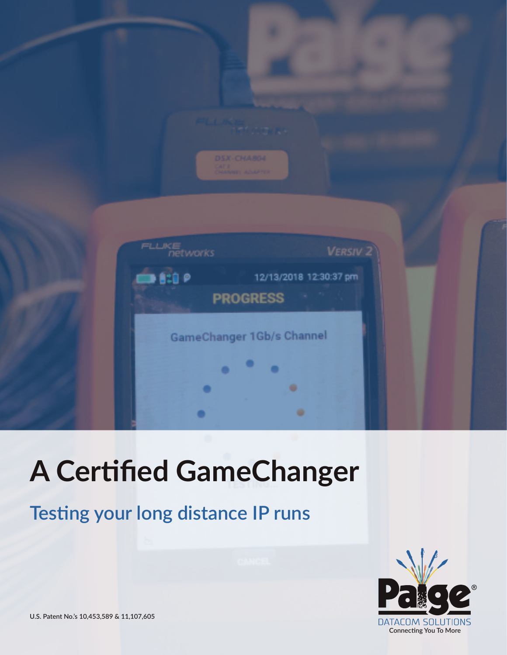

# **A Certified GameChanger**

# **Testing your long distance IP runs**



**U.S. Patent No.'s 10,453,589 & 11,107,605**